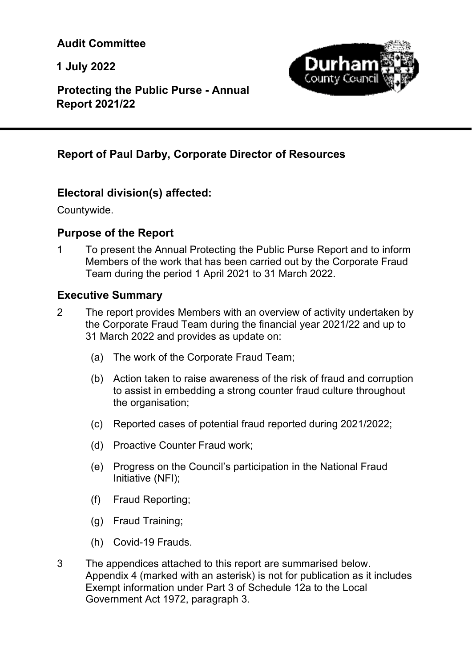**Audit Committee** 

**1 July 2022** 

l



 **Protecting the Public Purse - Annual Report 2021/22** 

# **Report of Paul Darby, Corporate Director of Resources**

# **Electoral division(s) affected:**

Countywide.

# **Purpose of the Report**

1 To present the Annual Protecting the Public Purse Report and to inform Members of the work that has been carried out by the Corporate Fraud Team during the period 1 April 2021 to 31 March 2022.

### **Executive Summary**

- 2 The report provides Members with an overview of activity undertaken by the Corporate Fraud Team during the financial year 2021/22 and up to 31 March 2022 and provides as update on:
	- (a) The work of the Corporate Fraud Team;
	- (b) Action taken to raise awareness of the risk of fraud and corruption to assist in embedding a strong counter fraud culture throughout the organisation;
	- (c) Reported cases of potential fraud reported during 2021/2022;
	- (d) Proactive Counter Fraud work;
	- (e) Progress on the Council's participation in the National Fraud Initiative (NFI);
	- (f) Fraud Reporting;
	- (g) Fraud Training;
	- (h) Covid-19 Frauds.
- 3 The appendices attached to this report are summarised below. Appendix 4 (marked with an asterisk) is not for publication as it includes Exempt information under Part 3 of Schedule 12a to the Local Government Act 1972, paragraph 3.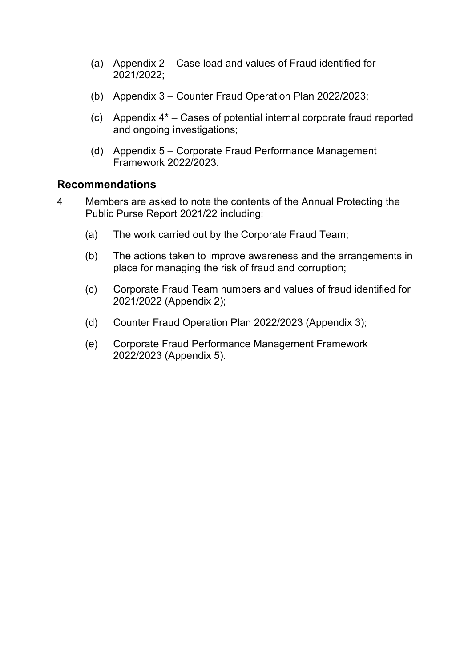- (a) Appendix 2 Case load and values of Fraud identified for 2021/2022;
- (b) Appendix 3 Counter Fraud Operation Plan 2022/2023;
- (c) Appendix 4\* Cases of potential internal corporate fraud reported and ongoing investigations;
- (d) Appendix 5 Corporate Fraud Performance Management Framework 2022/2023.

#### **Recommendations**

- 4 Members are asked to note the contents of the Annual Protecting the Public Purse Report 2021/22 including:
	- (a) The work carried out by the Corporate Fraud Team;
	- (b) The actions taken to improve awareness and the arrangements in place for managing the risk of fraud and corruption;
	- (c) Corporate Fraud Team numbers and values of fraud identified for 2021/2022 (Appendix 2);
	- (d) Counter Fraud Operation Plan 2022/2023 (Appendix 3);
	- (e) Corporate Fraud Performance Management Framework 2022/2023 (Appendix 5).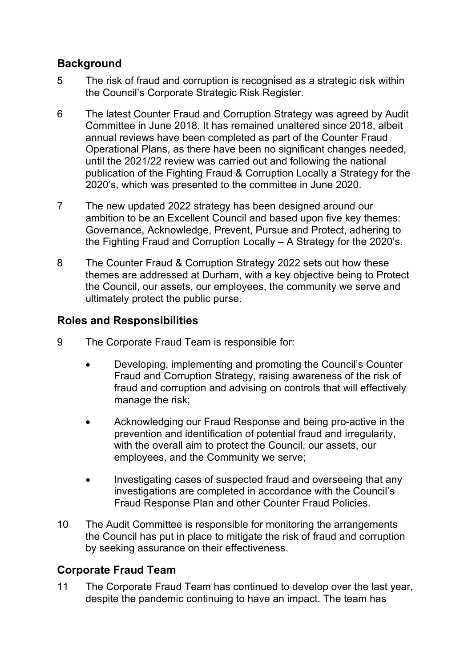# **Background**

- 5 The risk of fraud and corruption is recognised as a strategic risk within the Council's Corporate Strategic Risk Register.
- 6 The latest Counter Fraud and Corruption Strategy was agreed by Audit Committee in June 2018. It has remained unaltered since 2018, albeit annual reviews have been completed as part of the Counter Fraud Operational Plans, as there have been no significant changes needed, until the 2021/22 review was carried out and following the national publication of the Fighting Fraud & Corruption Locally a Strategy for the 2020's, which was presented to the committee in June 2020.
- 7 The new updated 2022 strategy has been designed around our ambition to be an Excellent Council and based upon five key themes: Governance, Acknowledge, Prevent, Pursue and Protect, adhering to the Fighting Fraud and Corruption Locally – A Strategy for the 2020's.
- 8 The Counter Fraud & Corruption Strategy 2022 sets out how these themes are addressed at Durham, with a key objective being to Protect the Council, our assets, our employees, the community we serve and ultimately protect the public purse.

### **Roles and Responsibilities**

- 9 The Corporate Fraud Team is responsible for:
	- Developing, implementing and promoting the Council's Counter Fraud and Corruption Strategy, raising awareness of the risk of fraud and corruption and advising on controls that will effectively manage the risk;
	- Acknowledging our Fraud Response and being pro-active in the prevention and identification of potential fraud and irregularity, with the overall aim to protect the Council, our assets, our employees, and the Community we serve;
	- Investigating cases of suspected fraud and overseeing that any investigations are completed in accordance with the Council's Fraud Response Plan and other Counter Fraud Policies.
- 10 The Audit Committee is responsible for monitoring the arrangements the Council has put in place to mitigate the risk of fraud and corruption by seeking assurance on their effectiveness.

# **Corporate Fraud Team**

11 The Corporate Fraud Team has continued to develop over the last year, despite the pandemic continuing to have an impact. The team has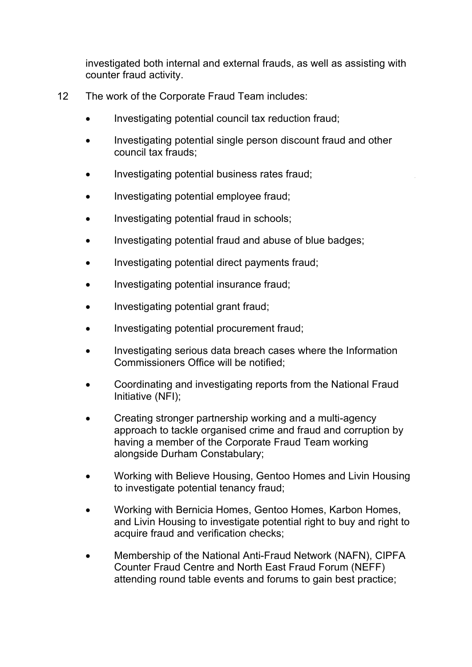investigated both internal and external frauds, as well as assisting with counter fraud activity.

- 12 The work of the Corporate Fraud Team includes:
	- Investigating potential council tax reduction fraud;
	- Investigating potential single person discount fraud and other council tax frauds;
	- Investigating potential business rates fraud;
	- Investigating potential employee fraud;
	- Investigating potential fraud in schools;
	- Investigating potential fraud and abuse of blue badges;
	- Investigating potential direct payments fraud;
	- Investigating potential insurance fraud;
	- Investigating potential grant fraud;
	- Investigating potential procurement fraud;
	- Investigating serious data breach cases where the Information Commissioners Office will be notified;
	- Coordinating and investigating reports from the National Fraud Initiative (NFI);
	- Creating stronger partnership working and a multi-agency approach to tackle organised crime and fraud and corruption by having a member of the Corporate Fraud Team working alongside Durham Constabulary;
	- Working with Believe Housing, Gentoo Homes and Livin Housing to investigate potential tenancy fraud;
	- Working with Bernicia Homes, Gentoo Homes, Karbon Homes, and Livin Housing to investigate potential right to buy and right to acquire fraud and verification checks;
	- Membership of the National Anti-Fraud Network (NAFN), CIPFA Counter Fraud Centre and North East Fraud Forum (NEFF) attending round table events and forums to gain best practice;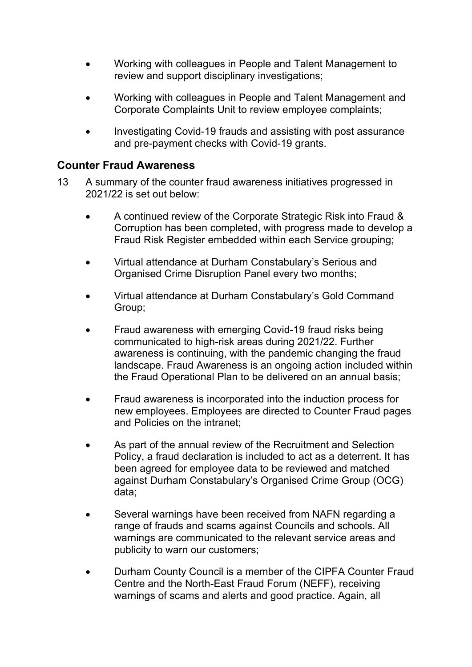- Working with colleagues in People and Talent Management to review and support disciplinary investigations;
- Working with colleagues in People and Talent Management and Corporate Complaints Unit to review employee complaints;
- Investigating Covid-19 frauds and assisting with post assurance and pre-payment checks with Covid-19 grants.

#### **Counter Fraud Awareness**

- 13 A summary of the counter fraud awareness initiatives progressed in 2021/22 is set out below:
	- A continued review of the Corporate Strategic Risk into Fraud & Corruption has been completed, with progress made to develop a Fraud Risk Register embedded within each Service grouping;
	- Virtual attendance at Durham Constabulary's Serious and Organised Crime Disruption Panel every two months;
	- Virtual attendance at Durham Constabulary's Gold Command Group;
	- Fraud awareness with emerging Covid-19 fraud risks being communicated to high-risk areas during 2021/22. Further awareness is continuing, with the pandemic changing the fraud landscape. Fraud Awareness is an ongoing action included within the Fraud Operational Plan to be delivered on an annual basis;
	- Fraud awareness is incorporated into the induction process for new employees. Employees are directed to Counter Fraud pages and Policies on the intranet;
	- As part of the annual review of the Recruitment and Selection Policy, a fraud declaration is included to act as a deterrent. It has been agreed for employee data to be reviewed and matched against Durham Constabulary's Organised Crime Group (OCG) data;
	- Several warnings have been received from NAFN regarding a range of frauds and scams against Councils and schools. All warnings are communicated to the relevant service areas and publicity to warn our customers;
	- Durham County Council is a member of the CIPFA Counter Fraud Centre and the North-East Fraud Forum (NEFF), receiving warnings of scams and alerts and good practice. Again, all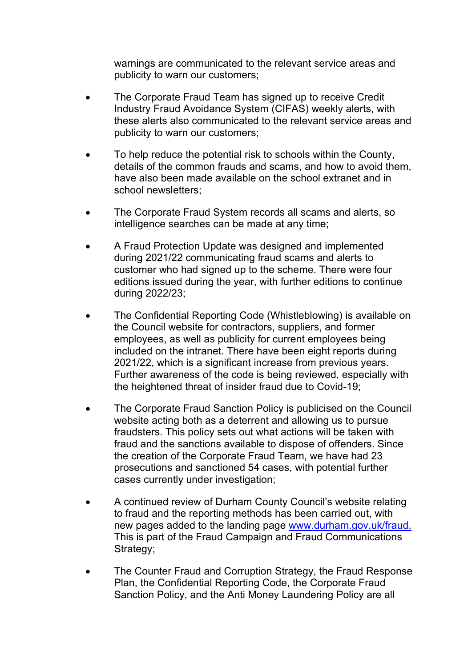warnings are communicated to the relevant service areas and publicity to warn our customers;

- The Corporate Fraud Team has signed up to receive Credit Industry Fraud Avoidance System (CIFAS) weekly alerts, with these alerts also communicated to the relevant service areas and publicity to warn our customers;
- To help reduce the potential risk to schools within the County, details of the common frauds and scams, and how to avoid them, have also been made available on the school extranet and in school newsletters;
- The Corporate Fraud System records all scams and alerts, so intelligence searches can be made at any time;
- A Fraud Protection Update was designed and implemented during 2021/22 communicating fraud scams and alerts to customer who had signed up to the scheme. There were four editions issued during the year, with further editions to continue during 2022/23;
- The Confidential Reporting Code (Whistleblowing) is available on the Council website for contractors, suppliers, and former employees, as well as publicity for current employees being included on the intranet. There have been eight reports during 2021/22, which is a significant increase from previous years. Further awareness of the code is being reviewed, especially with the heightened threat of insider fraud due to Covid-19;
- The Corporate Fraud Sanction Policy is publicised on the Council website acting both as a deterrent and allowing us to pursue fraudsters. This policy sets out what actions will be taken with fraud and the sanctions available to dispose of offenders. Since the creation of the Corporate Fraud Team, we have had 23 prosecutions and sanctioned 54 cases, with potential further cases currently under investigation;
- A continued review of Durham County Council's website relating to fraud and the reporting methods has been carried out, with new pages added to the landing page www.durham.gov.uk/fraud. This is part of the Fraud Campaign and Fraud Communications Strategy;
- The Counter Fraud and Corruption Strategy, the Fraud Response Plan, the Confidential Reporting Code, the Corporate Fraud Sanction Policy, and the Anti Money Laundering Policy are all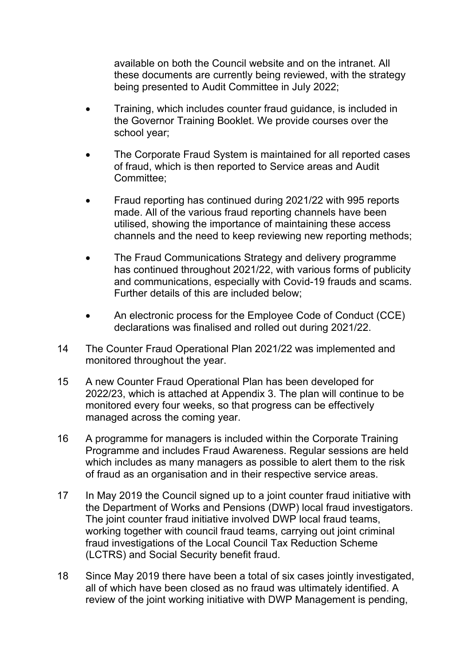available on both the Council website and on the intranet. All these documents are currently being reviewed, with the strategy being presented to Audit Committee in July 2022;

- Training, which includes counter fraud guidance, is included in the Governor Training Booklet. We provide courses over the school year;
- The Corporate Fraud System is maintained for all reported cases of fraud, which is then reported to Service areas and Audit Committee;
- Fraud reporting has continued during 2021/22 with 995 reports made. All of the various fraud reporting channels have been utilised, showing the importance of maintaining these access channels and the need to keep reviewing new reporting methods;
- The Fraud Communications Strategy and delivery programme has continued throughout 2021/22, with various forms of publicity and communications, especially with Covid-19 frauds and scams. Further details of this are included below;
- An electronic process for the Employee Code of Conduct (CCE) declarations was finalised and rolled out during 2021/22.
- 14 The Counter Fraud Operational Plan 2021/22 was implemented and monitored throughout the year.
- 15 A new Counter Fraud Operational Plan has been developed for 2022/23, which is attached at Appendix 3. The plan will continue to be monitored every four weeks, so that progress can be effectively managed across the coming year.
- 16 A programme for managers is included within the Corporate Training Programme and includes Fraud Awareness. Regular sessions are held which includes as many managers as possible to alert them to the risk of fraud as an organisation and in their respective service areas.
- 17 In May 2019 the Council signed up to a joint counter fraud initiative with the Department of Works and Pensions (DWP) local fraud investigators. The joint counter fraud initiative involved DWP local fraud teams, working together with council fraud teams, carrying out joint criminal fraud investigations of the Local Council Tax Reduction Scheme (LCTRS) and Social Security benefit fraud.
- 18 Since May 2019 there have been a total of six cases jointly investigated, all of which have been closed as no fraud was ultimately identified. A review of the joint working initiative with DWP Management is pending,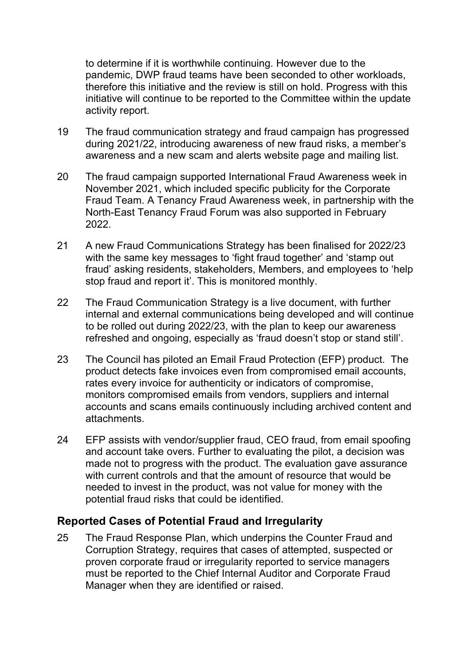to determine if it is worthwhile continuing. However due to the pandemic, DWP fraud teams have been seconded to other workloads, therefore this initiative and the review is still on hold. Progress with this initiative will continue to be reported to the Committee within the update activity report.

- 19 The fraud communication strategy and fraud campaign has progressed during 2021/22, introducing awareness of new fraud risks, a member's awareness and a new scam and alerts website page and mailing list.
- 20 The fraud campaign supported International Fraud Awareness week in November 2021, which included specific publicity for the Corporate Fraud Team. A Tenancy Fraud Awareness week, in partnership with the North-East Tenancy Fraud Forum was also supported in February 2022.
- 21 A new Fraud Communications Strategy has been finalised for 2022/23 with the same key messages to 'fight fraud together' and 'stamp out fraud' asking residents, stakeholders, Members, and employees to 'help stop fraud and report it'. This is monitored monthly.
- 22 The Fraud Communication Strategy is a live document, with further internal and external communications being developed and will continue to be rolled out during 2022/23, with the plan to keep our awareness refreshed and ongoing, especially as 'fraud doesn't stop or stand still'.
- 23 The Council has piloted an Email Fraud Protection (EFP) product. The product detects fake invoices even from compromised email accounts, rates every invoice for authenticity or indicators of compromise, monitors compromised emails from vendors, suppliers and internal accounts and scans emails continuously including archived content and attachments.
- 24 EFP assists with vendor/supplier fraud, CEO fraud, from email spoofing and account take overs. Further to evaluating the pilot, a decision was made not to progress with the product. The evaluation gave assurance with current controls and that the amount of resource that would be needed to invest in the product, was not value for money with the potential fraud risks that could be identified.

### **Reported Cases of Potential Fraud and Irregularity**

25 The Fraud Response Plan, which underpins the Counter Fraud and Corruption Strategy, requires that cases of attempted, suspected or proven corporate fraud or irregularity reported to service managers must be reported to the Chief Internal Auditor and Corporate Fraud Manager when they are identified or raised.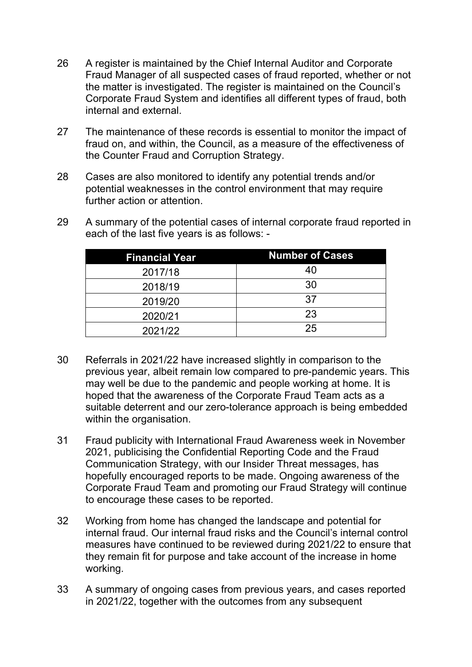- 26 A register is maintained by the Chief Internal Auditor and Corporate Fraud Manager of all suspected cases of fraud reported, whether or not the matter is investigated. The register is maintained on the Council's Corporate Fraud System and identifies all different types of fraud, both internal and external.
- 27 The maintenance of these records is essential to monitor the impact of fraud on, and within, the Council, as a measure of the effectiveness of the Counter Fraud and Corruption Strategy.
- 28 Cases are also monitored to identify any potential trends and/or potential weaknesses in the control environment that may require further action or attention.
- 29 A summary of the potential cases of internal corporate fraud reported in each of the last five years is as follows: -

| <b>Financial Year</b> | <b>Number of Cases</b> |
|-----------------------|------------------------|
| 2017/18               | 40                     |
| 2018/19               | 30                     |
| 2019/20               | 37                     |
| 2020/21               | 23                     |
| 2021/22               | 25                     |

- 30 Referrals in 2021/22 have increased slightly in comparison to the previous year, albeit remain low compared to pre-pandemic years. This may well be due to the pandemic and people working at home. It is hoped that the awareness of the Corporate Fraud Team acts as a suitable deterrent and our zero-tolerance approach is being embedded within the organisation.
- 31 Fraud publicity with International Fraud Awareness week in November 2021, publicising the Confidential Reporting Code and the Fraud Communication Strategy, with our Insider Threat messages, has hopefully encouraged reports to be made. Ongoing awareness of the Corporate Fraud Team and promoting our Fraud Strategy will continue to encourage these cases to be reported.
- 32 Working from home has changed the landscape and potential for internal fraud. Our internal fraud risks and the Council's internal control measures have continued to be reviewed during 2021/22 to ensure that they remain fit for purpose and take account of the increase in home working.
- 33 A summary of ongoing cases from previous years, and cases reported in 2021/22, together with the outcomes from any subsequent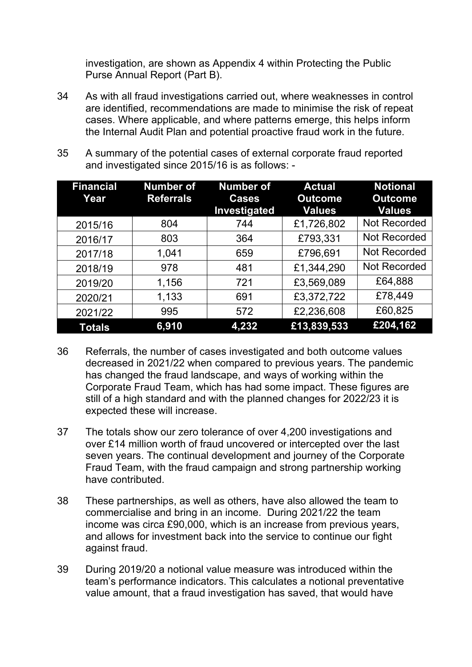investigation, are shown as Appendix 4 within Protecting the Public Purse Annual Report (Part B).

- 34 As with all fraud investigations carried out, where weaknesses in control are identified, recommendations are made to minimise the risk of repeat cases. Where applicable, and where patterns emerge, this helps inform the Internal Audit Plan and potential proactive fraud work in the future.
- 35 A summary of the potential cases of external corporate fraud reported and investigated since 2015/16 is as follows: -

| <b>Financial</b><br>Year | <b>Number of</b><br><b>Referrals</b> | <b>Number of</b><br><b>Cases</b><br>Investigated | <b>Actual</b><br><b>Outcome</b><br><b>Values</b> | <b>Notional</b><br><b>Outcome</b><br><b>Values</b> |
|--------------------------|--------------------------------------|--------------------------------------------------|--------------------------------------------------|----------------------------------------------------|
| 2015/16                  | 804                                  | 744                                              | £1,726,802                                       | <b>Not Recorded</b>                                |
| 2016/17                  | 803                                  | 364                                              | £793,331                                         | <b>Not Recorded</b>                                |
| 2017/18                  | 1,041                                | 659                                              | £796,691                                         | Not Recorded                                       |
| 2018/19                  | 978                                  | 481                                              | £1,344,290                                       | <b>Not Recorded</b>                                |
| 2019/20                  | 1,156                                | 721                                              | £3,569,089                                       | £64,888                                            |
| 2020/21                  | 1,133                                | 691                                              | £3,372,722                                       | £78,449                                            |
| 2021/22                  | 995                                  | 572                                              | £2,236,608                                       | £60,825                                            |
| <b>Totals</b>            | 6,910                                | 4,232                                            | £13,839,533                                      | £204,162                                           |

- 36 Referrals, the number of cases investigated and both outcome values decreased in 2021/22 when compared to previous years. The pandemic has changed the fraud landscape, and ways of working within the Corporate Fraud Team, which has had some impact. These figures are still of a high standard and with the planned changes for 2022/23 it is expected these will increase.
- 37 The totals show our zero tolerance of over 4,200 investigations and over £14 million worth of fraud uncovered or intercepted over the last seven years. The continual development and journey of the Corporate Fraud Team, with the fraud campaign and strong partnership working have contributed.
- 38 These partnerships, as well as others, have also allowed the team to commercialise and bring in an income. During 2021/22 the team income was circa £90,000, which is an increase from previous years, and allows for investment back into the service to continue our fight against fraud.
- 39 During 2019/20 a notional value measure was introduced within the team's performance indicators. This calculates a notional preventative value amount, that a fraud investigation has saved, that would have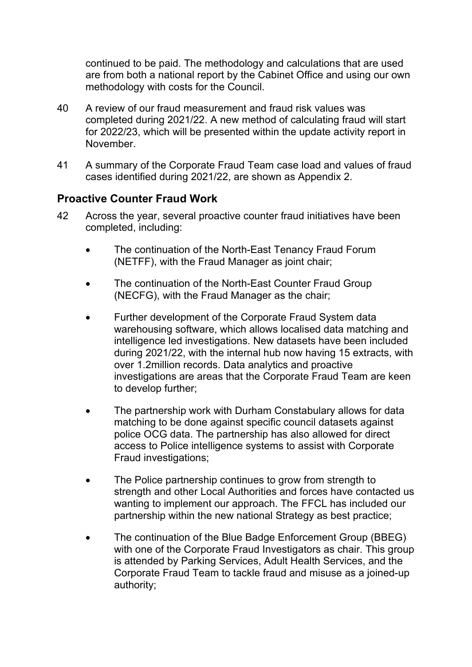continued to be paid. The methodology and calculations that are used are from both a national report by the Cabinet Office and using our own methodology with costs for the Council.

- 40 A review of our fraud measurement and fraud risk values was completed during 2021/22. A new method of calculating fraud will start for 2022/23, which will be presented within the update activity report in November.
- 41 A summary of the Corporate Fraud Team case load and values of fraud cases identified during 2021/22, are shown as Appendix 2.

### **Proactive Counter Fraud Work**

- 42 Across the year, several proactive counter fraud initiatives have been completed, including:
	- The continuation of the North-East Tenancy Fraud Forum (NETFF), with the Fraud Manager as joint chair;
	- The continuation of the North-East Counter Fraud Group (NECFG), with the Fraud Manager as the chair;
	- Further development of the Corporate Fraud System data warehousing software, which allows localised data matching and intelligence led investigations. New datasets have been included during 2021/22, with the internal hub now having 15 extracts, with over 1.2million records. Data analytics and proactive investigations are areas that the Corporate Fraud Team are keen to develop further;
	- The partnership work with Durham Constabulary allows for data matching to be done against specific council datasets against police OCG data. The partnership has also allowed for direct access to Police intelligence systems to assist with Corporate Fraud investigations;
	- The Police partnership continues to grow from strength to strength and other Local Authorities and forces have contacted us wanting to implement our approach. The FFCL has included our partnership within the new national Strategy as best practice;
	- The continuation of the Blue Badge Enforcement Group (BBEG) with one of the Corporate Fraud Investigators as chair. This group is attended by Parking Services, Adult Health Services, and the Corporate Fraud Team to tackle fraud and misuse as a joined-up authority;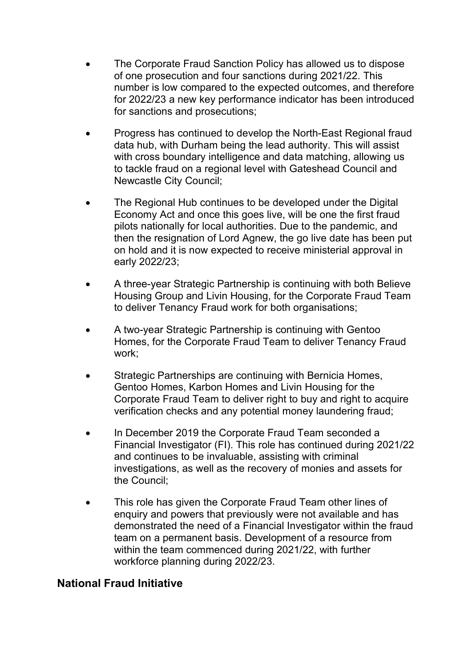- The Corporate Fraud Sanction Policy has allowed us to dispose of one prosecution and four sanctions during 2021/22. This number is low compared to the expected outcomes, and therefore for 2022/23 a new key performance indicator has been introduced for sanctions and prosecutions;
- Progress has continued to develop the North-East Regional fraud data hub, with Durham being the lead authority. This will assist with cross boundary intelligence and data matching, allowing us to tackle fraud on a regional level with Gateshead Council and Newcastle City Council;
- The Regional Hub continues to be developed under the Digital Economy Act and once this goes live, will be one the first fraud pilots nationally for local authorities. Due to the pandemic, and then the resignation of Lord Agnew, the go live date has been put on hold and it is now expected to receive ministerial approval in early 2022/23;
- A three-year Strategic Partnership is continuing with both Believe Housing Group and Livin Housing, for the Corporate Fraud Team to deliver Tenancy Fraud work for both organisations;
- A two-year Strategic Partnership is continuing with Gentoo Homes, for the Corporate Fraud Team to deliver Tenancy Fraud work;
- Strategic Partnerships are continuing with Bernicia Homes, Gentoo Homes, Karbon Homes and Livin Housing for the Corporate Fraud Team to deliver right to buy and right to acquire verification checks and any potential money laundering fraud;
- In December 2019 the Corporate Fraud Team seconded a Financial Investigator (FI). This role has continued during 2021/22 and continues to be invaluable, assisting with criminal investigations, as well as the recovery of monies and assets for the Council;
- This role has given the Corporate Fraud Team other lines of enquiry and powers that previously were not available and has demonstrated the need of a Financial Investigator within the fraud team on a permanent basis. Development of a resource from within the team commenced during 2021/22, with further workforce planning during 2022/23.

### **National Fraud Initiative**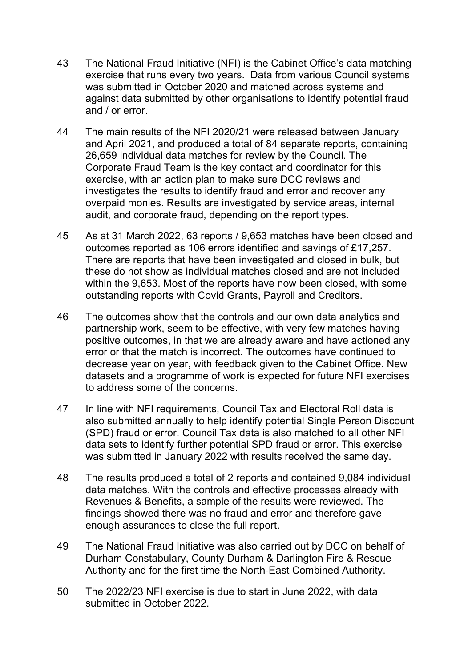- 43 The National Fraud Initiative (NFI) is the Cabinet Office's data matching exercise that runs every two years. Data from various Council systems was submitted in October 2020 and matched across systems and against data submitted by other organisations to identify potential fraud and / or error.
- 44 The main results of the NFI 2020/21 were released between January and April 2021, and produced a total of 84 separate reports, containing 26,659 individual data matches for review by the Council. The Corporate Fraud Team is the key contact and coordinator for this exercise, with an action plan to make sure DCC reviews and investigates the results to identify fraud and error and recover any overpaid monies. Results are investigated by service areas, internal audit, and corporate fraud, depending on the report types.
- 45 As at 31 March 2022, 63 reports / 9,653 matches have been closed and outcomes reported as 106 errors identified and savings of £17,257. There are reports that have been investigated and closed in bulk, but these do not show as individual matches closed and are not included within the 9,653. Most of the reports have now been closed, with some outstanding reports with Covid Grants, Payroll and Creditors.
- 46 The outcomes show that the controls and our own data analytics and partnership work, seem to be effective, with very few matches having positive outcomes, in that we are already aware and have actioned any error or that the match is incorrect. The outcomes have continued to decrease year on year, with feedback given to the Cabinet Office. New datasets and a programme of work is expected for future NFI exercises to address some of the concerns.
- 47 In line with NFI requirements, Council Tax and Electoral Roll data is also submitted annually to help identify potential Single Person Discount (SPD) fraud or error. Council Tax data is also matched to all other NFI data sets to identify further potential SPD fraud or error. This exercise was submitted in January 2022 with results received the same day.
- 48 The results produced a total of 2 reports and contained 9,084 individual data matches. With the controls and effective processes already with Revenues & Benefits, a sample of the results were reviewed. The findings showed there was no fraud and error and therefore gave enough assurances to close the full report.
- 49 The National Fraud Initiative was also carried out by DCC on behalf of Durham Constabulary, County Durham & Darlington Fire & Rescue Authority and for the first time the North-East Combined Authority.
- 50 The 2022/23 NFI exercise is due to start in June 2022, with data submitted in October 2022.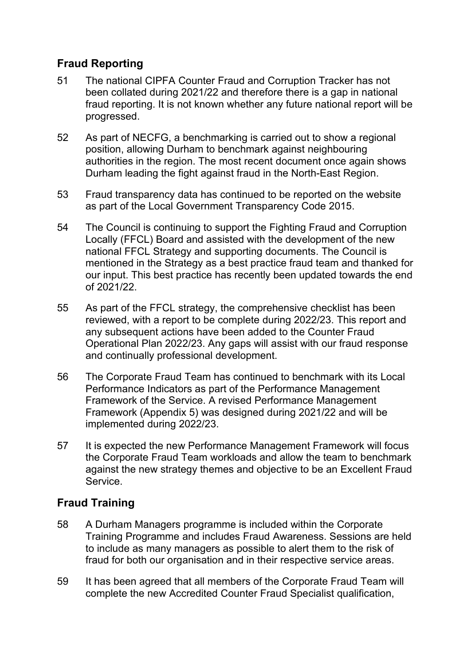# **Fraud Reporting**

- 51 The national CIPFA Counter Fraud and Corruption Tracker has not been collated during 2021/22 and therefore there is a gap in national fraud reporting. It is not known whether any future national report will be progressed.
- 52 As part of NECFG, a benchmarking is carried out to show a regional position, allowing Durham to benchmark against neighbouring authorities in the region. The most recent document once again shows Durham leading the fight against fraud in the North-East Region.
- 53 Fraud transparency data has continued to be reported on the website as part of the Local Government Transparency Code 2015.
- 54 The Council is continuing to support the Fighting Fraud and Corruption Locally (FFCL) Board and assisted with the development of the new national FFCL Strategy and supporting documents. The Council is mentioned in the Strategy as a best practice fraud team and thanked for our input. This best practice has recently been updated towards the end of 2021/22.
- 55 As part of the FFCL strategy, the comprehensive checklist has been reviewed, with a report to be complete during 2022/23. This report and any subsequent actions have been added to the Counter Fraud Operational Plan 2022/23. Any gaps will assist with our fraud response and continually professional development.
- 56 The Corporate Fraud Team has continued to benchmark with its Local Performance Indicators as part of the Performance Management Framework of the Service. A revised Performance Management Framework (Appendix 5) was designed during 2021/22 and will be implemented during 2022/23.
- 57 It is expected the new Performance Management Framework will focus the Corporate Fraud Team workloads and allow the team to benchmark against the new strategy themes and objective to be an Excellent Fraud Service.

# **Fraud Training**

- 58 A Durham Managers programme is included within the Corporate Training Programme and includes Fraud Awareness. Sessions are held to include as many managers as possible to alert them to the risk of fraud for both our organisation and in their respective service areas.
- 59 It has been agreed that all members of the Corporate Fraud Team will complete the new Accredited Counter Fraud Specialist qualification,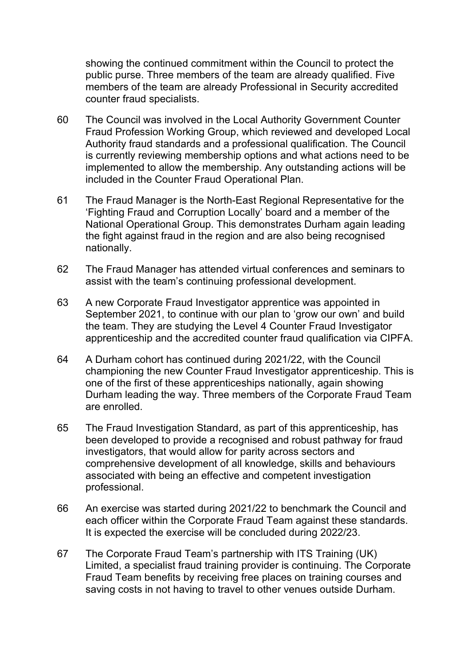showing the continued commitment within the Council to protect the public purse. Three members of the team are already qualified. Five members of the team are already Professional in Security accredited counter fraud specialists.

- 60 The Council was involved in the Local Authority Government Counter Fraud Profession Working Group, which reviewed and developed Local Authority fraud standards and a professional qualification. The Council is currently reviewing membership options and what actions need to be implemented to allow the membership. Any outstanding actions will be included in the Counter Fraud Operational Plan.
- 61 The Fraud Manager is the North-East Regional Representative for the 'Fighting Fraud and Corruption Locally' board and a member of the National Operational Group. This demonstrates Durham again leading the fight against fraud in the region and are also being recognised nationally.
- 62 The Fraud Manager has attended virtual conferences and seminars to assist with the team's continuing professional development.
- 63 A new Corporate Fraud Investigator apprentice was appointed in September 2021, to continue with our plan to 'grow our own' and build the team. They are studying the Level 4 Counter Fraud Investigator apprenticeship and the accredited counter fraud qualification via CIPFA.
- 64 A Durham cohort has continued during 2021/22, with the Council championing the new Counter Fraud Investigator apprenticeship. This is one of the first of these apprenticeships nationally, again showing Durham leading the way. Three members of the Corporate Fraud Team are enrolled.
- 65 The Fraud Investigation Standard, as part of this apprenticeship, has been developed to provide a recognised and robust pathway for fraud investigators, that would allow for parity across sectors and comprehensive development of all knowledge, skills and behaviours associated with being an effective and competent investigation professional.
- 66 An exercise was started during 2021/22 to benchmark the Council and each officer within the Corporate Fraud Team against these standards. It is expected the exercise will be concluded during 2022/23.
- 67 The Corporate Fraud Team's partnership with ITS Training (UK) Limited, a specialist fraud training provider is continuing. The Corporate Fraud Team benefits by receiving free places on training courses and saving costs in not having to travel to other venues outside Durham.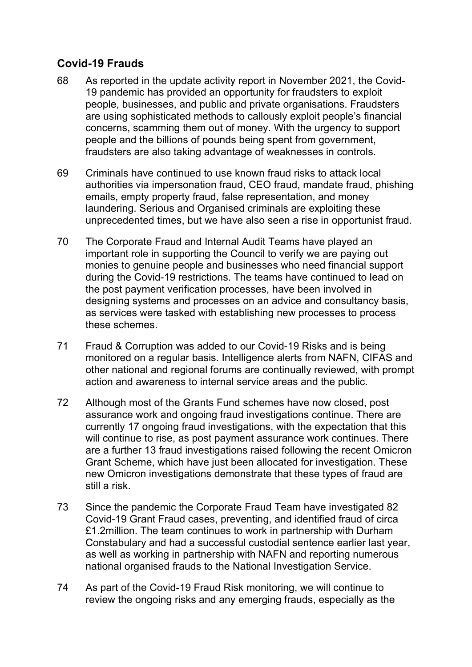# **Covid-19 Frauds**

- 68 As reported in the update activity report in November 2021, the Covid-19 pandemic has provided an opportunity for fraudsters to exploit people, businesses, and public and private organisations. Fraudsters are using sophisticated methods to callously exploit people's financial concerns, scamming them out of money. With the urgency to support people and the billions of pounds being spent from government, fraudsters are also taking advantage of weaknesses in controls.
- 69 Criminals have continued to use known fraud risks to attack local authorities via impersonation fraud, CEO fraud, mandate fraud, phishing emails, empty property fraud, false representation, and money laundering. Serious and Organised criminals are exploiting these unprecedented times, but we have also seen a rise in opportunist fraud.
- 70 The Corporate Fraud and Internal Audit Teams have played an important role in supporting the Council to verify we are paying out monies to genuine people and businesses who need financial support during the Covid-19 restrictions. The teams have continued to lead on the post payment verification processes, have been involved in designing systems and processes on an advice and consultancy basis, as services were tasked with establishing new processes to process these schemes.
- 71 Fraud & Corruption was added to our Covid-19 Risks and is being monitored on a regular basis. Intelligence alerts from NAFN, CIFAS and other national and regional forums are continually reviewed, with prompt action and awareness to internal service areas and the public.
- 72 Although most of the Grants Fund schemes have now closed, post assurance work and ongoing fraud investigations continue. There are currently 17 ongoing fraud investigations, with the expectation that this will continue to rise, as post payment assurance work continues. There are a further 13 fraud investigations raised following the recent Omicron Grant Scheme, which have just been allocated for investigation. These new Omicron investigations demonstrate that these types of fraud are still a risk.
- 73 Since the pandemic the Corporate Fraud Team have investigated 82 Covid-19 Grant Fraud cases, preventing, and identified fraud of circa £1.2million. The team continues to work in partnership with Durham Constabulary and had a successful custodial sentence earlier last year, as well as working in partnership with NAFN and reporting numerous national organised frauds to the National Investigation Service.
- 74 As part of the Covid-19 Fraud Risk monitoring, we will continue to review the ongoing risks and any emerging frauds, especially as the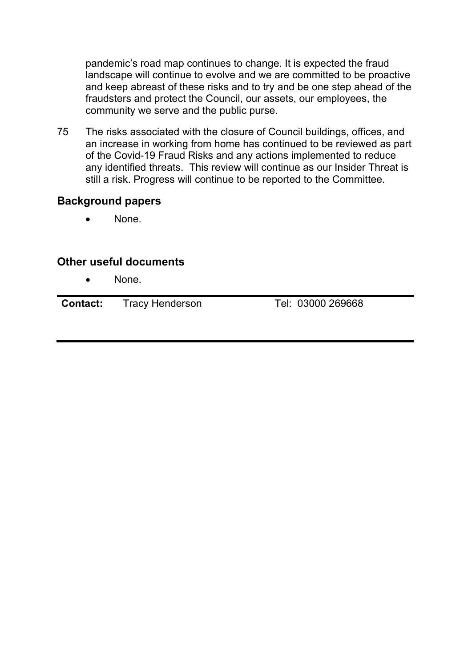pandemic's road map continues to change. It is expected the fraud landscape will continue to evolve and we are committed to be proactive and keep abreast of these risks and to try and be one step ahead of the fraudsters and protect the Council, our assets, our employees, the community we serve and the public purse.

75 The risks associated with the closure of Council buildings, offices, and an increase in working from home has continued to be reviewed as part of the Covid-19 Fraud Risks and any actions implemented to reduce any identified threats. This review will continue as our Insider Threat is still a risk. Progress will continue to be reported to the Committee.

### **Background papers**

None.

### **Other useful documents**

• None.

**Contact:** Tracy Henderson Tel: 03000 269668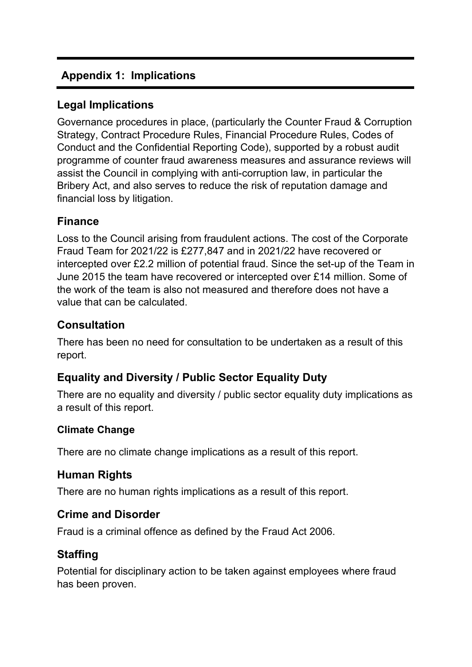# **Appendix 1: Implications**

# **Legal Implications**

Governance procedures in place, (particularly the Counter Fraud & Corruption Strategy, Contract Procedure Rules, Financial Procedure Rules, Codes of Conduct and the Confidential Reporting Code), supported by a robust audit programme of counter fraud awareness measures and assurance reviews will assist the Council in complying with anti-corruption law, in particular the Bribery Act, and also serves to reduce the risk of reputation damage and financial loss by litigation.

### **Finance**

Loss to the Council arising from fraudulent actions. The cost of the Corporate Fraud Team for 2021/22 is £277,847 and in 2021/22 have recovered or intercepted over £2.2 million of potential fraud. Since the set-up of the Team in June 2015 the team have recovered or intercepted over £14 million. Some of the work of the team is also not measured and therefore does not have a value that can be calculated.

# **Consultation**

There has been no need for consultation to be undertaken as a result of this report.

# **Equality and Diversity / Public Sector Equality Duty**

There are no equality and diversity / public sector equality duty implications as a result of this report.

### **Climate Change**

There are no climate change implications as a result of this report.

### **Human Rights**

There are no human rights implications as a result of this report.

### **Crime and Disorder**

Fraud is a criminal offence as defined by the Fraud Act 2006.

# **Staffing**

Potential for disciplinary action to be taken against employees where fraud has been proven.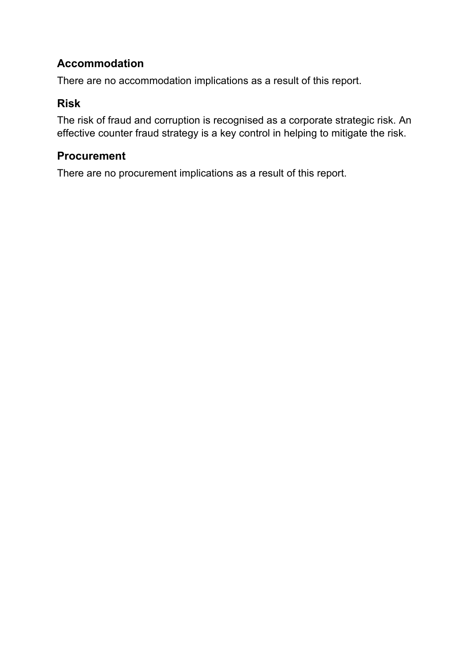# **Accommodation**

There are no accommodation implications as a result of this report.

## **Risk**

The risk of fraud and corruption is recognised as a corporate strategic risk. An effective counter fraud strategy is a key control in helping to mitigate the risk.

# **Procurement**

There are no procurement implications as a result of this report.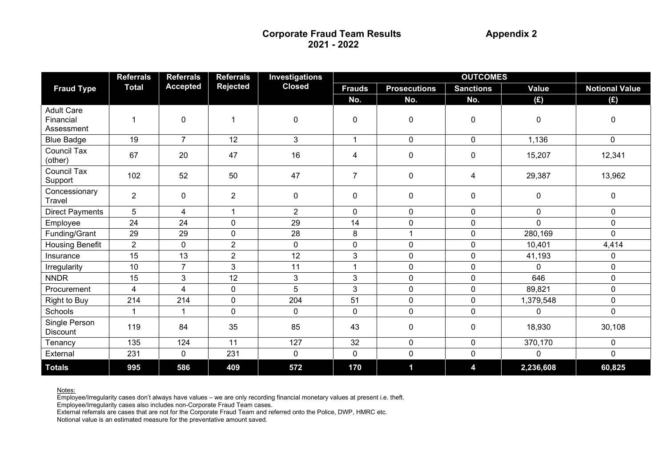|                                              | <b>Referrals</b> | <b>Referrals</b> | <b>Referrals</b> | <b>Investigations</b> | <b>OUTCOMES</b> |                     |                  |              |                       |
|----------------------------------------------|------------------|------------------|------------------|-----------------------|-----------------|---------------------|------------------|--------------|-----------------------|
| <b>Fraud Type</b>                            | <b>Total</b>     | <b>Accepted</b>  | <b>Rejected</b>  | <b>Closed</b>         | <b>Frauds</b>   | <b>Prosecutions</b> | <b>Sanctions</b> | <b>Value</b> | <b>Notional Value</b> |
|                                              |                  |                  |                  |                       | No.             | No.                 | No.              | (E)          | (E)                   |
| <b>Adult Care</b><br>Financial<br>Assessment | 1                | $\pmb{0}$        | $\mathbf 1$      | $\pmb{0}$             | 0               | 0                   | 0                | 0            | $\pmb{0}$             |
| <b>Blue Badge</b>                            | 19               | $\overline{7}$   | 12               | $\overline{3}$        | $\mathbf{1}$    | $\mathbf 0$         | $\overline{0}$   | 1,136        | $\mathbf 0$           |
| <b>Council Tax</b><br>(other)                | 67               | 20               | 47               | 16                    | 4               | 0                   | 0                | 15,207       | 12,341                |
| <b>Council Tax</b><br>Support                | 102              | 52               | 50               | 47                    | $\overline{7}$  | 0                   | 4                | 29,387       | 13,962                |
| Concessionary<br>Travel                      | $\overline{2}$   | $\mathbf 0$      | $\overline{2}$   | $\mathbf 0$           | $\mathbf 0$     | 0                   | 0                | 0            | 0                     |
| <b>Direct Payments</b>                       | 5                | 4                | 1                | $\overline{2}$        | $\mathbf 0$     | 0                   | 0                | $\mathbf 0$  | $\mathbf 0$           |
| Employee                                     | 24               | 24               | $\mathbf 0$      | 29                    | 14              | $\mathbf 0$         | 0                | $\Omega$     | $\mathbf 0$           |
| Funding/Grant                                | 29               | 29               | $\mathbf 0$      | 28                    | $\bf 8$         | 1                   | 0                | 280,169      | 0                     |
| <b>Housing Benefit</b>                       | $\overline{2}$   | $\mathbf 0$      | $\overline{2}$   | $\mathbf 0$           | 0               | 0                   | 0                | 10,401       | 4,414                 |
| Insurance                                    | 15               | 13               | $\overline{2}$   | 12                    | 3               | $\mathbf 0$         | 0                | 41,193       | $\mathbf 0$           |
| Irregularity                                 | 10               | $\overline{7}$   | 3                | 11                    | $\mathbf{1}$    | 0                   | 0                | 0            | $\mathbf 0$           |
| <b>NNDR</b>                                  | 15               | 3                | 12               | 3                     | 3               | $\pmb{0}$           | 0                | 646          | $\mathbf 0$           |
| Procurement                                  | 4                | $\overline{4}$   | $\mathbf 0$      | 5                     | 3               | 0                   | 0                | 89,821       | $\mathbf 0$           |
| <b>Right to Buy</b>                          | 214              | 214              | $\mathbf 0$      | 204                   | 51              | 0                   | 0                | 1,379,548    | $\mathbf 0$           |
| Schools                                      |                  |                  | $\mathbf 0$      | $\mathbf 0$           | $\mathbf 0$     | $\mathbf 0$         | 0                | $\Omega$     | $\mathbf 0$           |
| Single Person<br><b>Discount</b>             | 119              | 84               | 35               | 85                    | 43              | 0                   | 0                | 18,930       | 30,108                |
| Tenancy                                      | 135              | 124              | 11               | 127                   | 32              | 0                   | 0                | 370,170      | $\mathbf 0$           |
| External                                     | 231              | $\mathbf 0$      | 231              | $\pmb{0}$             | $\mathbf 0$     | $\pmb{0}$           | $\pmb{0}$        | $\mathbf 0$  | $\mathbf 0$           |
| <b>Totals</b>                                | 995              | 586              | 409              | 572                   | 170             | $\mathbf 1$         | 4                | 2,236,608    | 60,825                |

<u>Notes:</u><br>Employee/Irregularity cases don't always have values – we are only recording financial monetary values at present i.e. theft.<br>Employee/Irregularity cases also includes non-Corporate Fraud Team cases.<br>External refe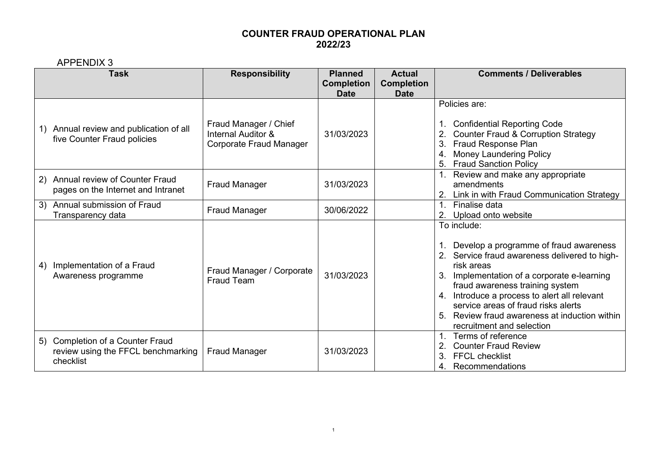APPENDIX 3

|    | 7 11 11 LIVL 17 1 U<br><b>Task</b>                                                  | <b>Responsibility</b>                                                             | <b>Planned</b>                   | <b>Actual</b>                    | <b>Comments / Deliverables</b>                                                                                                                                                                                                                                                                                                                                                 |  |
|----|-------------------------------------------------------------------------------------|-----------------------------------------------------------------------------------|----------------------------------|----------------------------------|--------------------------------------------------------------------------------------------------------------------------------------------------------------------------------------------------------------------------------------------------------------------------------------------------------------------------------------------------------------------------------|--|
|    |                                                                                     |                                                                                   | <b>Completion</b><br><b>Date</b> | <b>Completion</b><br><b>Date</b> |                                                                                                                                                                                                                                                                                                                                                                                |  |
|    | 1) Annual review and publication of all<br>five Counter Fraud policies              | Fraud Manager / Chief<br><b>Internal Auditor &amp;</b><br>Corporate Fraud Manager | 31/03/2023                       |                                  | Policies are:<br>1. Confidential Reporting Code<br><b>Counter Fraud &amp; Corruption Strategy</b><br><b>Fraud Response Plan</b><br>3.<br><b>Money Laundering Policy</b><br>4.<br><b>Fraud Sanction Policy</b><br>5.                                                                                                                                                            |  |
| 2) | <b>Annual review of Counter Fraud</b><br>pages on the Internet and Intranet         | <b>Fraud Manager</b>                                                              | 31/03/2023                       |                                  | Review and make any appropriate<br>amendments<br>Link in with Fraud Communication Strategy                                                                                                                                                                                                                                                                                     |  |
|    | 3) Annual submission of Fraud<br>Transparency data                                  | <b>Fraud Manager</b>                                                              | 30/06/2022                       |                                  | $\mathbf{1}$<br>Finalise data<br>Upload onto website<br>2.                                                                                                                                                                                                                                                                                                                     |  |
| 4) | Implementation of a Fraud<br>Awareness programme                                    | Fraud Manager / Corporate<br><b>Fraud Team</b>                                    | 31/03/2023                       |                                  | To include:<br>1. Develop a programme of fraud awareness<br>2. Service fraud awareness delivered to high-<br>risk areas<br>Implementation of a corporate e-learning<br>fraud awareness training system<br>4. Introduce a process to alert all relevant<br>service areas of fraud risks alerts<br>Review fraud awareness at induction within<br>5.<br>recruitment and selection |  |
|    | 5) Completion of a Counter Fraud<br>review using the FFCL benchmarking<br>checklist | <b>Fraud Manager</b>                                                              | 31/03/2023                       |                                  | Terms of reference<br><b>Counter Fraud Review</b><br>3<br><b>FFCL checklist</b><br>Recommendations<br>4.                                                                                                                                                                                                                                                                       |  |

1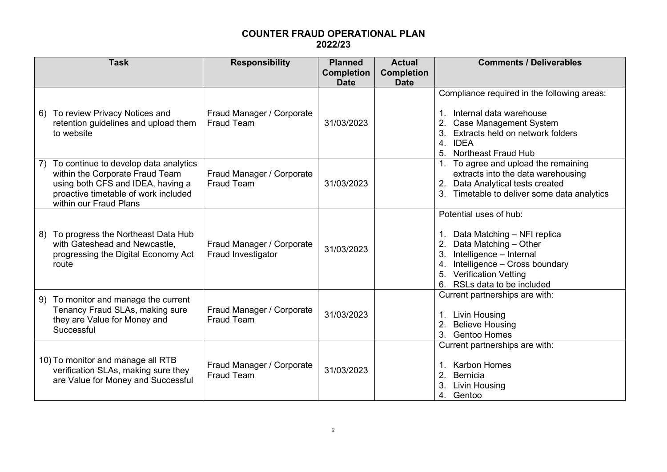|    | <b>Task</b>                                                                                                                                                                     | <b>Responsibility</b>                                  | <b>Planned</b><br><b>Completion</b><br><b>Date</b> | <b>Actual</b><br><b>Completion</b><br><b>Date</b> | <b>Comments / Deliverables</b>                                                                                                                                                                                    |
|----|---------------------------------------------------------------------------------------------------------------------------------------------------------------------------------|--------------------------------------------------------|----------------------------------------------------|---------------------------------------------------|-------------------------------------------------------------------------------------------------------------------------------------------------------------------------------------------------------------------|
|    | 6) To review Privacy Notices and<br>retention guidelines and upload them<br>to website                                                                                          | Fraud Manager / Corporate<br>Fraud Team                | 31/03/2023                                         |                                                   | Compliance required in the following areas:<br>Internal data warehouse<br>1.<br><b>Case Management System</b><br>Extracts held on network folders<br>4. IDEA<br>5.<br><b>Northeast Fraud Hub</b>                  |
| 7) | To continue to develop data analytics<br>within the Corporate Fraud Team<br>using both CFS and IDEA, having a<br>proactive timetable of work included<br>within our Fraud Plans | Fraud Manager / Corporate<br><b>Fraud Team</b>         | 31/03/2023                                         |                                                   | 1. To agree and upload the remaining<br>extracts into the data warehousing<br>Data Analytical tests created<br>2.<br>Timetable to deliver some data analytics                                                     |
| 8) | To progress the Northeast Data Hub<br>with Gateshead and Newcastle,<br>progressing the Digital Economy Act<br>route                                                             | Fraud Manager / Corporate<br><b>Fraud Investigator</b> | 31/03/2023                                         |                                                   | Potential uses of hub:<br>Data Matching - NFI replica<br>Data Matching - Other<br>Intelligence - Internal<br>Intelligence - Cross boundary<br><b>Verification Vetting</b><br>5.<br>RSLs data to be included<br>6. |
| 9) | To monitor and manage the current<br>Tenancy Fraud SLAs, making sure<br>they are Value for Money and<br>Successful                                                              | Fraud Manager / Corporate<br><b>Fraud Team</b>         | 31/03/2023                                         |                                                   | Current partnerships are with:<br><b>Livin Housing</b><br>1.<br><b>Believe Housing</b><br>3.<br><b>Gentoo Homes</b>                                                                                               |
|    | 10) To monitor and manage all RTB<br>verification SLAs, making sure they<br>are Value for Money and Successful                                                                  | Fraud Manager / Corporate<br><b>Fraud Team</b>         | 31/03/2023                                         |                                                   | Current partnerships are with:<br><b>Karbon Homes</b><br>1.<br>2.<br><b>Bernicia</b><br>Livin Housing<br>4.<br>Gentoo                                                                                             |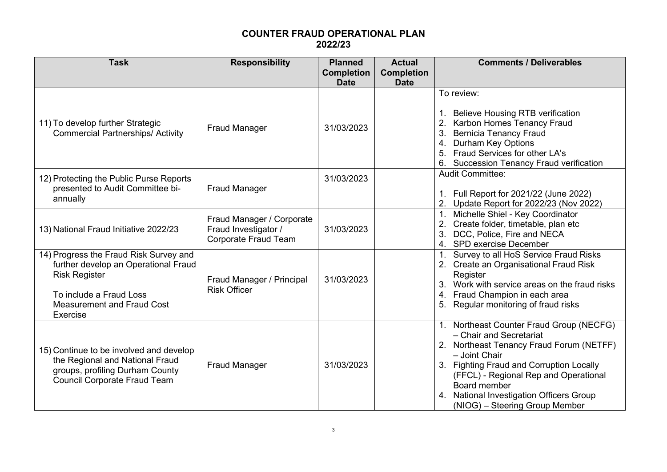| <b>Task</b>                                                                                                                                                                        | <b>Responsibility</b>                                                            | <b>Planned</b><br><b>Completion</b><br><b>Date</b> | <b>Actual</b><br><b>Completion</b><br><b>Date</b> | <b>Comments / Deliverables</b>                                                                                                                                                                                                                                                                                          |
|------------------------------------------------------------------------------------------------------------------------------------------------------------------------------------|----------------------------------------------------------------------------------|----------------------------------------------------|---------------------------------------------------|-------------------------------------------------------------------------------------------------------------------------------------------------------------------------------------------------------------------------------------------------------------------------------------------------------------------------|
| 11) To develop further Strategic<br><b>Commercial Partnerships/ Activity</b>                                                                                                       | <b>Fraud Manager</b>                                                             | 31/03/2023                                         |                                                   | To review:<br><b>Believe Housing RTB verification</b><br>Karbon Homes Tenancy Fraud<br><b>Bernicia Tenancy Fraud</b><br><b>Durham Key Options</b><br>4.<br>Fraud Services for other LA's<br>6. Succession Tenancy Fraud verification                                                                                    |
| 12) Protecting the Public Purse Reports<br>presented to Audit Committee bi-<br>annually                                                                                            | <b>Fraud Manager</b>                                                             | 31/03/2023                                         |                                                   | <b>Audit Committee:</b><br>1. Full Report for 2021/22 (June 2022)<br>Update Report for 2022/23 (Nov 2022)                                                                                                                                                                                                               |
| 13) National Fraud Initiative 2022/23                                                                                                                                              | Fraud Manager / Corporate<br>Fraud Investigator /<br><b>Corporate Fraud Team</b> | 31/03/2023                                         |                                                   | Michelle Shiel - Key Coordinator<br>Create folder, timetable, plan etc<br>DCC, Police, Fire and NECA<br>4. SPD exercise December                                                                                                                                                                                        |
| 14) Progress the Fraud Risk Survey and<br>further develop an Operational Fraud<br><b>Risk Register</b><br>To include a Fraud Loss<br><b>Measurement and Fraud Cost</b><br>Exercise | Fraud Manager / Principal<br><b>Risk Officer</b>                                 | 31/03/2023                                         |                                                   | 1. Survey to all HoS Service Fraud Risks<br>2. Create an Organisational Fraud Risk<br>Register<br>Work with service areas on the fraud risks<br>4. Fraud Champion in each area<br>Regular monitoring of fraud risks                                                                                                     |
| 15) Continue to be involved and develop<br>the Regional and National Fraud<br>groups, profiling Durham County<br><b>Council Corporate Fraud Team</b>                               | <b>Fraud Manager</b>                                                             | 31/03/2023                                         |                                                   | 1. Northeast Counter Fraud Group (NECFG)<br>- Chair and Secretariat<br>2. Northeast Tenancy Fraud Forum (NETFF)<br>- Joint Chair<br>3. Fighting Fraud and Corruption Locally<br>(FFCL) - Regional Rep and Operational<br>Board member<br><b>National Investigation Officers Group</b><br>(NIOG) - Steering Group Member |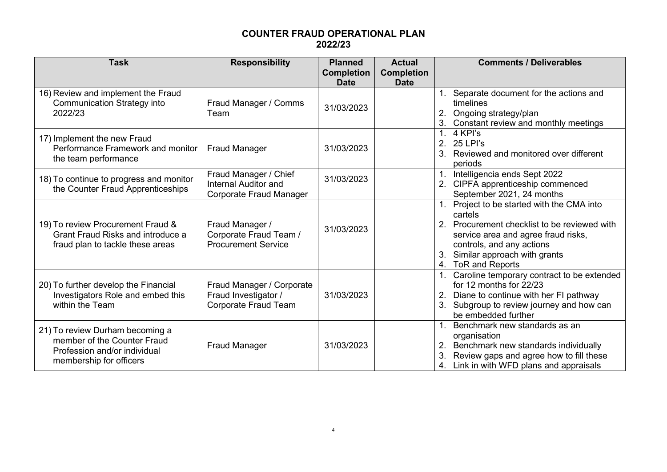| <b>Task</b>                                                                                                               | <b>Responsibility</b>                                                           | <b>Planned</b><br><b>Completion</b><br><b>Date</b> | <b>Actual</b><br><b>Completion</b><br><b>Date</b> | <b>Comments / Deliverables</b>                                                                                                                                                                                               |
|---------------------------------------------------------------------------------------------------------------------------|---------------------------------------------------------------------------------|----------------------------------------------------|---------------------------------------------------|------------------------------------------------------------------------------------------------------------------------------------------------------------------------------------------------------------------------------|
| 16) Review and implement the Fraud<br><b>Communication Strategy into</b><br>2022/23                                       | Fraud Manager / Comms<br>Team                                                   | 31/03/2023                                         |                                                   | Separate document for the actions and<br>timelines<br>2.<br>Ongoing strategy/plan<br>Constant review and monthly meetings                                                                                                    |
| 17) Implement the new Fraud<br>Performance Framework and monitor<br>the team performance                                  | <b>Fraud Manager</b>                                                            | 31/03/2023                                         |                                                   | 1.<br>4 KPI's<br>2.<br>25 LPI's<br>Reviewed and monitored over different<br>periods                                                                                                                                          |
| 18) To continue to progress and monitor<br>the Counter Fraud Apprenticeships                                              | Fraud Manager / Chief<br><b>Internal Auditor and</b><br>Corporate Fraud Manager | 31/03/2023                                         |                                                   | Intelligencia ends Sept 2022<br>CIPFA apprenticeship commenced<br>September 2021, 24 months                                                                                                                                  |
| 19) To review Procurement Fraud &<br>Grant Fraud Risks and introduce a<br>fraud plan to tackle these areas                | Fraud Manager /<br>Corporate Fraud Team /<br><b>Procurement Service</b>         | 31/03/2023                                         |                                                   | Project to be started with the CMA into<br>cartels<br>Procurement checklist to be reviewed with<br>service area and agree fraud risks,<br>controls, and any actions<br>Similar approach with grants<br>ToR and Reports<br>4. |
| 20) To further develop the Financial<br>Investigators Role and embed this<br>within the Team                              | Fraud Manager / Corporate<br>Fraud Investigator /<br>Corporate Fraud Team       | 31/03/2023                                         |                                                   | Caroline temporary contract to be extended<br>for 12 months for 22/23<br>Diane to continue with her FI pathway<br>2.<br>Subgroup to review journey and how can<br>be embedded further                                        |
| 21) To review Durham becoming a<br>member of the Counter Fraud<br>Profession and/or individual<br>membership for officers | <b>Fraud Manager</b>                                                            | 31/03/2023                                         |                                                   | Benchmark new standards as an<br>organisation<br>Benchmark new standards individually<br>Review gaps and agree how to fill these<br>Link in with WFD plans and appraisals<br>4.                                              |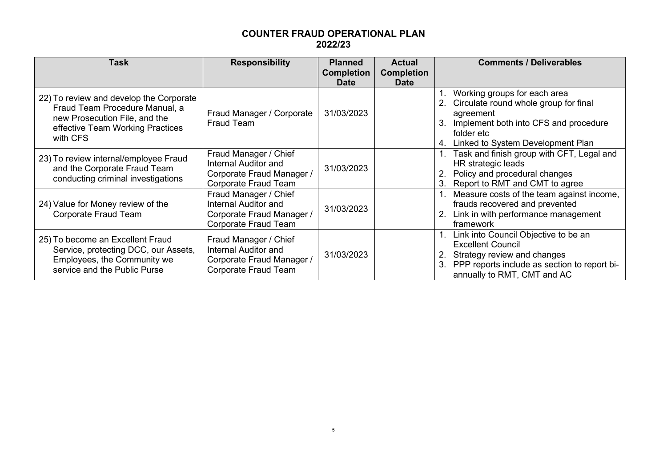| <b>Task</b>                                                                                                                                                | <b>Responsibility</b>                                                                                     | <b>Planned</b><br><b>Completion</b><br><b>Date</b> | <b>Actual</b><br><b>Completion</b><br><b>Date</b> | <b>Comments / Deliverables</b>                                                                                                                                                             |
|------------------------------------------------------------------------------------------------------------------------------------------------------------|-----------------------------------------------------------------------------------------------------------|----------------------------------------------------|---------------------------------------------------|--------------------------------------------------------------------------------------------------------------------------------------------------------------------------------------------|
| 22) To review and develop the Corporate<br>Fraud Team Procedure Manual, a<br>new Prosecution File, and the<br>effective Team Working Practices<br>with CFS | Fraud Manager / Corporate<br><b>Fraud Team</b>                                                            | 31/03/2023                                         |                                                   | Working groups for each area<br>Circulate round whole group for final<br>agreement<br>Implement both into CFS and procedure<br>3.<br>folder etc<br>Linked to System Development Plan<br>4. |
| 23) To review internal/employee Fraud<br>and the Corporate Fraud Team<br>conducting criminal investigations                                                | Fraud Manager / Chief<br>Internal Auditor and<br>Corporate Fraud Manager /<br><b>Corporate Fraud Team</b> | 31/03/2023                                         |                                                   | Task and finish group with CFT, Legal and<br>HR strategic leads<br>Policy and procedural changes<br>Report to RMT and CMT to agree                                                         |
| 24) Value for Money review of the<br>Corporate Fraud Team                                                                                                  | Fraud Manager / Chief<br>Internal Auditor and<br>Corporate Fraud Manager /<br><b>Corporate Fraud Team</b> | 31/03/2023                                         |                                                   | Measure costs of the team against income,<br>frauds recovered and prevented<br>Link in with performance management<br>framework                                                            |
| 25) To become an Excellent Fraud<br>Service, protecting DCC, our Assets,<br>Employees, the Community we<br>service and the Public Purse                    | Fraud Manager / Chief<br>Internal Auditor and<br>Corporate Fraud Manager /<br><b>Corporate Fraud Team</b> | 31/03/2023                                         |                                                   | 1. Link into Council Objective to be an<br><b>Excellent Council</b><br>Strategy review and changes<br>PPP reports include as section to report bi-<br>annually to RMT, CMT and AC          |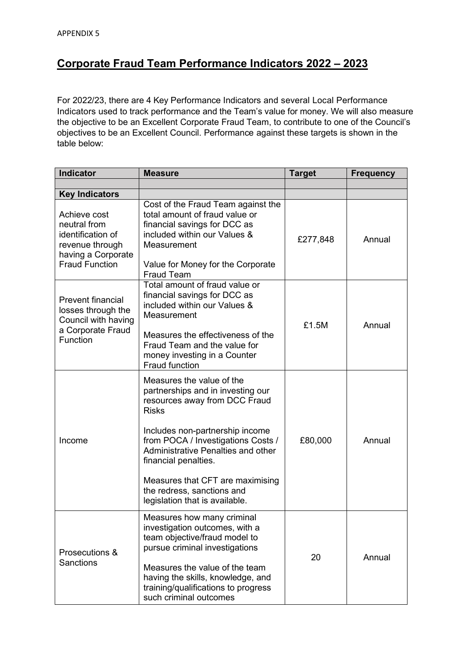# **Corporate Fraud Team Performance Indicators 2022 – 2023**

For 2022/23, there are 4 Key Performance Indicators and several Local Performance Indicators used to track performance and the Team's value for money. We will also measure the objective to be an Excellent Corporate Fraud Team, to contribute to one of the Council's objectives to be an Excellent Council. Performance against these targets is shown in the table below:

| <b>Indicator</b>                                                                                                    | <b>Measure</b>                                                                                                                                                                                                                                                                                                                                             | <b>Target</b> | <b>Frequency</b> |
|---------------------------------------------------------------------------------------------------------------------|------------------------------------------------------------------------------------------------------------------------------------------------------------------------------------------------------------------------------------------------------------------------------------------------------------------------------------------------------------|---------------|------------------|
|                                                                                                                     |                                                                                                                                                                                                                                                                                                                                                            |               |                  |
| <b>Key Indicators</b>                                                                                               |                                                                                                                                                                                                                                                                                                                                                            |               |                  |
| Achieve cost<br>neutral from<br>identification of<br>revenue through<br>having a Corporate<br><b>Fraud Function</b> | Cost of the Fraud Team against the<br>total amount of fraud value or<br>financial savings for DCC as<br>included within our Values &<br>Measurement<br>Value for Money for the Corporate<br><b>Fraud Team</b>                                                                                                                                              | £277,848      | Annual           |
| <b>Prevent financial</b><br>losses through the<br>Council with having<br>a Corporate Fraud<br>Function              | Total amount of fraud value or<br>financial savings for DCC as<br>included within our Values &<br>Measurement<br>Measures the effectiveness of the<br>Fraud Team and the value for<br>money investing in a Counter<br><b>Fraud function</b>                                                                                                                | £1.5M         | Annual           |
| Income                                                                                                              | Measures the value of the<br>partnerships and in investing our<br>resources away from DCC Fraud<br><b>Risks</b><br>Includes non-partnership income<br>from POCA / Investigations Costs /<br>Administrative Penalties and other<br>financial penalties.<br>Measures that CFT are maximising<br>the redress, sanctions and<br>legislation that is available. | £80,000       | Annual           |
| Prosecutions &<br><b>Sanctions</b>                                                                                  | Measures how many criminal<br>investigation outcomes, with a<br>team objective/fraud model to<br>pursue criminal investigations<br>Measures the value of the team<br>having the skills, knowledge, and<br>training/qualifications to progress<br>such criminal outcomes                                                                                    | 20            | Annual           |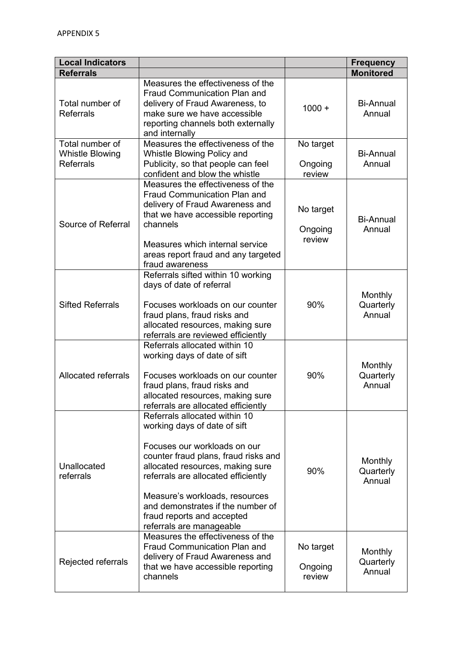| <b>Local Indicators</b>                                       |                                                                                                                                                                                                                                                                                                                                                   |                                | <b>Frequency</b>                      |
|---------------------------------------------------------------|---------------------------------------------------------------------------------------------------------------------------------------------------------------------------------------------------------------------------------------------------------------------------------------------------------------------------------------------------|--------------------------------|---------------------------------------|
| <b>Referrals</b>                                              |                                                                                                                                                                                                                                                                                                                                                   |                                | <b>Monitored</b>                      |
| Total number of<br><b>Referrals</b>                           | Measures the effectiveness of the<br><b>Fraud Communication Plan and</b><br>delivery of Fraud Awareness, to<br>make sure we have accessible<br>reporting channels both externally<br>and internally                                                                                                                                               | $1000 +$                       | <b>Bi-Annual</b><br>Annual            |
| Total number of<br><b>Whistle Blowing</b><br><b>Referrals</b> | Measures the effectiveness of the<br>Whistle Blowing Policy and<br>Publicity, so that people can feel<br>confident and blow the whistle                                                                                                                                                                                                           | No target<br>Ongoing<br>review | <b>Bi-Annual</b><br>Annual            |
| Source of Referral                                            | Measures the effectiveness of the<br><b>Fraud Communication Plan and</b><br>delivery of Fraud Awareness and<br>that we have accessible reporting<br>channels<br>Measures which internal service<br>areas report fraud and any targeted<br>fraud awareness                                                                                         | No target<br>Ongoing<br>review | <b>Bi-Annual</b><br>Annual            |
| <b>Sifted Referrals</b>                                       | Referrals sifted within 10 working<br>days of date of referral<br>Focuses workloads on our counter<br>fraud plans, fraud risks and<br>allocated resources, making sure<br>referrals are reviewed efficiently                                                                                                                                      | 90%                            | <b>Monthly</b><br>Quarterly<br>Annual |
| <b>Allocated referrals</b>                                    | Referrals allocated within 10<br>working days of date of sift<br>Focuses workloads on our counter<br>fraud plans, fraud risks and<br>allocated resources, making sure<br>referrals are allocated efficiently                                                                                                                                      | 90%                            | Monthly<br>Quarterly<br>Annual        |
| Unallocated<br>referrals                                      | Referrals allocated within 10<br>working days of date of sift<br>Focuses our workloads on our<br>counter fraud plans, fraud risks and<br>allocated resources, making sure<br>referrals are allocated efficiently<br>Measure's workloads, resources<br>and demonstrates if the number of<br>fraud reports and accepted<br>referrals are manageable | 90%                            | <b>Monthly</b><br>Quarterly<br>Annual |
| Rejected referrals                                            | Measures the effectiveness of the<br><b>Fraud Communication Plan and</b><br>delivery of Fraud Awareness and<br>that we have accessible reporting<br>channels                                                                                                                                                                                      | No target<br>Ongoing<br>review | <b>Monthly</b><br>Quarterly<br>Annual |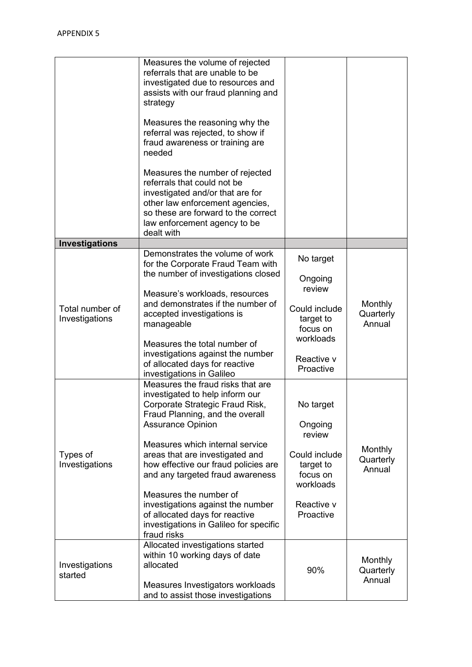|                                   | Measures the volume of rejected<br>referrals that are unable to be<br>investigated due to resources and<br>assists with our fraud planning and<br>strategy<br>Measures the reasoning why the<br>referral was rejected, to show if<br>fraud awareness or training are<br>needed<br>Measures the number of rejected<br>referrals that could not be<br>investigated and/or that are for<br>other law enforcement agencies,<br>so these are forward to the correct<br>law enforcement agency to be<br>dealt with |                                                                                                                  |                                       |
|-----------------------------------|--------------------------------------------------------------------------------------------------------------------------------------------------------------------------------------------------------------------------------------------------------------------------------------------------------------------------------------------------------------------------------------------------------------------------------------------------------------------------------------------------------------|------------------------------------------------------------------------------------------------------------------|---------------------------------------|
| Investigations                    |                                                                                                                                                                                                                                                                                                                                                                                                                                                                                                              |                                                                                                                  |                                       |
| Total number of<br>Investigations | Demonstrates the volume of work<br>for the Corporate Fraud Team with<br>the number of investigations closed<br>Measure's workloads, resources<br>and demonstrates if the number of<br>accepted investigations is<br>manageable<br>Measures the total number of<br>investigations against the number<br>of allocated days for reactive<br>investigations in Galileo                                                                                                                                           | No target<br>Ongoing<br>review<br>Could include<br>target to<br>focus on<br>workloads<br>Reactive v<br>Proactive | Monthly<br>Quarterly<br>Annual        |
| Types of<br>Investigations        | Measures the fraud risks that are<br>investigated to help inform our<br>Corporate Strategic Fraud Risk,<br>Fraud Planning, and the overall<br><b>Assurance Opinion</b><br>Measures which internal service<br>areas that are investigated and<br>how effective our fraud policies are<br>and any targeted fraud awareness<br>Measures the number of<br>investigations against the number<br>of allocated days for reactive<br>investigations in Galileo for specific<br>fraud risks                           | No target<br>Ongoing<br>review<br>Could include<br>target to<br>focus on<br>workloads<br>Reactive v<br>Proactive | <b>Monthly</b><br>Quarterly<br>Annual |
| Investigations<br>started         | Allocated investigations started<br>within 10 working days of date<br>allocated<br>Measures Investigators workloads<br>and to assist those investigations                                                                                                                                                                                                                                                                                                                                                    | 90%                                                                                                              | <b>Monthly</b><br>Quarterly<br>Annual |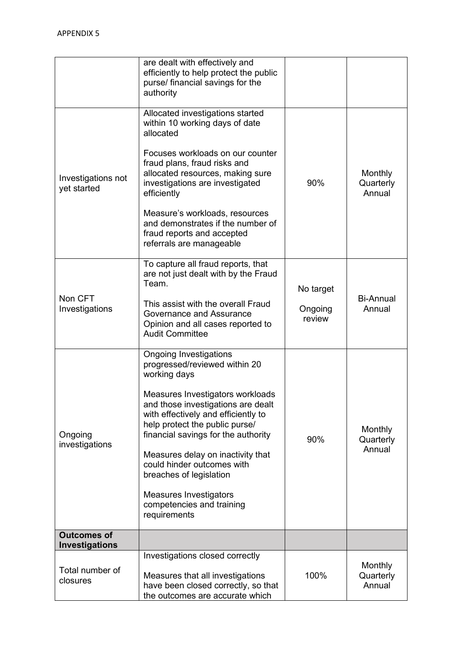|                                      | are dealt with effectively and<br>efficiently to help protect the public<br>purse/ financial savings for the<br>authority                                                                                                                                                                                                                                                                                                                            |                                |                                       |
|--------------------------------------|------------------------------------------------------------------------------------------------------------------------------------------------------------------------------------------------------------------------------------------------------------------------------------------------------------------------------------------------------------------------------------------------------------------------------------------------------|--------------------------------|---------------------------------------|
| Investigations not<br>yet started    | Allocated investigations started<br>within 10 working days of date<br>allocated<br>Focuses workloads on our counter<br>fraud plans, fraud risks and<br>allocated resources, making sure<br>investigations are investigated<br>efficiently<br>Measure's workloads, resources<br>and demonstrates if the number of<br>fraud reports and accepted<br>referrals are manageable                                                                           | 90%                            | <b>Monthly</b><br>Quarterly<br>Annual |
| Non CFT<br>Investigations            | To capture all fraud reports, that<br>are not just dealt with by the Fraud<br>Team.<br>This assist with the overall Fraud<br>Governance and Assurance<br>Opinion and all cases reported to<br><b>Audit Committee</b>                                                                                                                                                                                                                                 | No target<br>Ongoing<br>review | <b>Bi-Annual</b><br>Annual            |
| Ongoing<br>investigations            | <b>Ongoing Investigations</b><br>progressed/reviewed within 20<br>working days<br>Measures Investigators workloads<br>and those investigations are dealt<br>with effectively and efficiently to<br>help protect the public purse/<br>financial savings for the authority<br>Measures delay on inactivity that<br>could hinder outcomes with<br>breaches of legislation<br><b>Measures Investigators</b><br>competencies and training<br>requirements | 90%                            | <b>Monthly</b><br>Quarterly<br>Annual |
| <b>Outcomes of</b><br>Investigations |                                                                                                                                                                                                                                                                                                                                                                                                                                                      |                                |                                       |
| Total number of<br>closures          | Investigations closed correctly<br>Measures that all investigations<br>have been closed correctly, so that<br>the outcomes are accurate which                                                                                                                                                                                                                                                                                                        | 100%                           | <b>Monthly</b><br>Quarterly<br>Annual |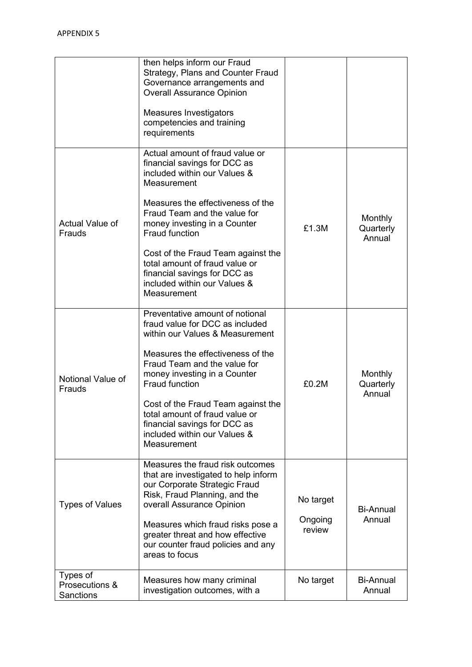|                                                | then helps inform our Fraud<br>Strategy, Plans and Counter Fraud<br>Governance arrangements and<br><b>Overall Assurance Opinion</b><br>Measures Investigators<br>competencies and training<br>requirements                                                                                                                                                                                   |                                |                                |
|------------------------------------------------|----------------------------------------------------------------------------------------------------------------------------------------------------------------------------------------------------------------------------------------------------------------------------------------------------------------------------------------------------------------------------------------------|--------------------------------|--------------------------------|
| Actual Value of<br>Frauds                      | Actual amount of fraud value or<br>financial savings for DCC as<br>included within our Values &<br>Measurement<br>Measures the effectiveness of the<br>Fraud Team and the value for<br>money investing in a Counter<br>Fraud function<br>Cost of the Fraud Team against the<br>total amount of fraud value or<br>financial savings for DCC as<br>included within our Values &<br>Measurement | £1.3M                          | Monthly<br>Quarterly<br>Annual |
| Notional Value of<br>Frauds                    | Preventative amount of notional<br>fraud value for DCC as included<br>within our Values & Measurement<br>Measures the effectiveness of the<br>Fraud Team and the value for<br>money investing in a Counter<br><b>Fraud function</b><br>Cost of the Fraud Team against the<br>total amount of fraud value or<br>financial savings for DCC as<br>included within our Values &<br>Measurement   | £0.2M                          | Monthly<br>Quarterly<br>Annual |
| <b>Types of Values</b>                         | Measures the fraud risk outcomes<br>that are investigated to help inform<br>our Corporate Strategic Fraud<br>Risk, Fraud Planning, and the<br>overall Assurance Opinion<br>Measures which fraud risks pose a<br>greater threat and how effective<br>our counter fraud policies and any<br>areas to focus                                                                                     | No target<br>Ongoing<br>review | <b>Bi-Annual</b><br>Annual     |
| Types of<br>Prosecutions &<br><b>Sanctions</b> | Measures how many criminal<br>investigation outcomes, with a                                                                                                                                                                                                                                                                                                                                 | No target                      | Bi-Annual<br>Annual            |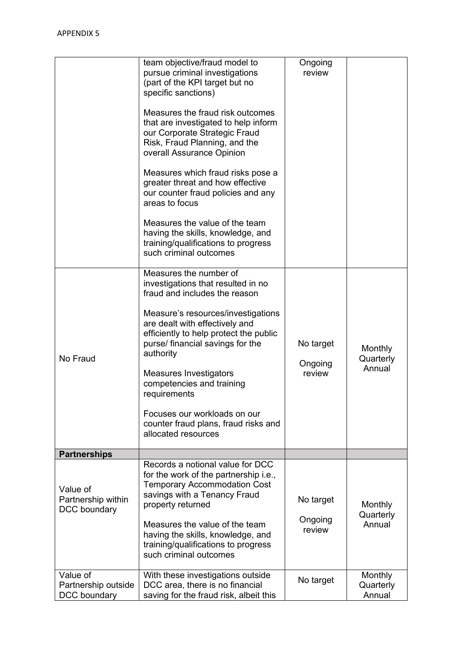|                                                 | team objective/fraud model to<br>pursue criminal investigations<br>(part of the KPI target but no<br>specific sanctions)<br>Measures the fraud risk outcomes<br>that are investigated to help inform<br>our Corporate Strategic Fraud<br>Risk, Fraud Planning, and the<br>overall Assurance Opinion<br>Measures which fraud risks pose a<br>greater threat and how effective<br>our counter fraud policies and any<br>areas to focus<br>Measures the value of the team<br>having the skills, knowledge, and<br>training/qualifications to progress<br>such criminal outcomes | Ongoing<br>review              |                                       |
|-------------------------------------------------|------------------------------------------------------------------------------------------------------------------------------------------------------------------------------------------------------------------------------------------------------------------------------------------------------------------------------------------------------------------------------------------------------------------------------------------------------------------------------------------------------------------------------------------------------------------------------|--------------------------------|---------------------------------------|
| No Fraud                                        | Measures the number of<br>investigations that resulted in no<br>fraud and includes the reason<br>Measure's resources/investigations<br>are dealt with effectively and<br>efficiently to help protect the public<br>purse/ financial savings for the<br>authority<br>Measures Investigators<br>competencies and training<br>requirements<br>Focuses our workloads on our<br>counter fraud plans, fraud risks and<br>allocated resources                                                                                                                                       | No target<br>Ongoing<br>review | <b>Monthly</b><br>Quarterly<br>Annual |
| <b>Partnerships</b>                             |                                                                                                                                                                                                                                                                                                                                                                                                                                                                                                                                                                              |                                |                                       |
| Value of<br>Partnership within<br>DCC boundary  | Records a notional value for DCC<br>for the work of the partnership i.e.,<br><b>Temporary Accommodation Cost</b><br>savings with a Tenancy Fraud<br>property returned<br>Measures the value of the team<br>having the skills, knowledge, and<br>training/qualifications to progress<br>such criminal outcomes                                                                                                                                                                                                                                                                | No target<br>Ongoing<br>review | <b>Monthly</b><br>Quarterly<br>Annual |
| Value of<br>Partnership outside<br>DCC boundary | With these investigations outside<br>DCC area, there is no financial<br>saving for the fraud risk, albeit this                                                                                                                                                                                                                                                                                                                                                                                                                                                               | No target                      | Monthly<br>Quarterly<br>Annual        |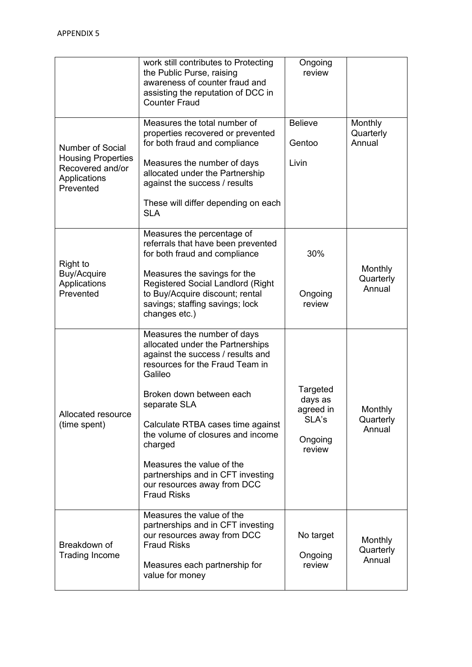|                                                                                                | work still contributes to Protecting<br>the Public Purse, raising<br>awareness of counter fraud and<br>assisting the reputation of DCC in<br><b>Counter Fraud</b>                                                                                                                                                                                                                                          | Ongoing<br>review                                              |                                       |
|------------------------------------------------------------------------------------------------|------------------------------------------------------------------------------------------------------------------------------------------------------------------------------------------------------------------------------------------------------------------------------------------------------------------------------------------------------------------------------------------------------------|----------------------------------------------------------------|---------------------------------------|
| Number of Social<br><b>Housing Properties</b><br>Recovered and/or<br>Applications<br>Prevented | Measures the total number of<br>properties recovered or prevented<br>for both fraud and compliance<br>Measures the number of days<br>allocated under the Partnership<br>against the success / results<br>These will differ depending on each<br><b>SLA</b>                                                                                                                                                 | <b>Believe</b><br>Gentoo<br>Livin                              | <b>Monthly</b><br>Quarterly<br>Annual |
| Right to<br>Buy/Acquire<br>Applications<br>Prevented                                           | Measures the percentage of<br>referrals that have been prevented<br>for both fraud and compliance<br>Measures the savings for the<br><b>Registered Social Landlord (Right</b><br>to Buy/Acquire discount; rental<br>savings; staffing savings; lock<br>changes etc.)                                                                                                                                       | 30%<br>Ongoing<br>review                                       | Monthly<br>Quarterly<br>Annual        |
| Allocated resource<br>(time spent)                                                             | Measures the number of days<br>allocated under the Partnerships<br>against the success / results and<br>resources for the Fraud Team in<br>Galileo<br>Broken down between each<br>separate SLA<br>Calculate RTBA cases time against<br>the volume of closures and income<br>charged<br>Measures the value of the<br>partnerships and in CFT investing<br>our resources away from DCC<br><b>Fraud Risks</b> | Targeted<br>days as<br>agreed in<br>SLA's<br>Ongoing<br>review | <b>Monthly</b><br>Quarterly<br>Annual |
| Breakdown of<br><b>Trading Income</b>                                                          | Measures the value of the<br>partnerships and in CFT investing<br>our resources away from DCC<br><b>Fraud Risks</b><br>Measures each partnership for<br>value for money                                                                                                                                                                                                                                    | No target<br>Ongoing<br>review                                 | <b>Monthly</b><br>Quarterly<br>Annual |